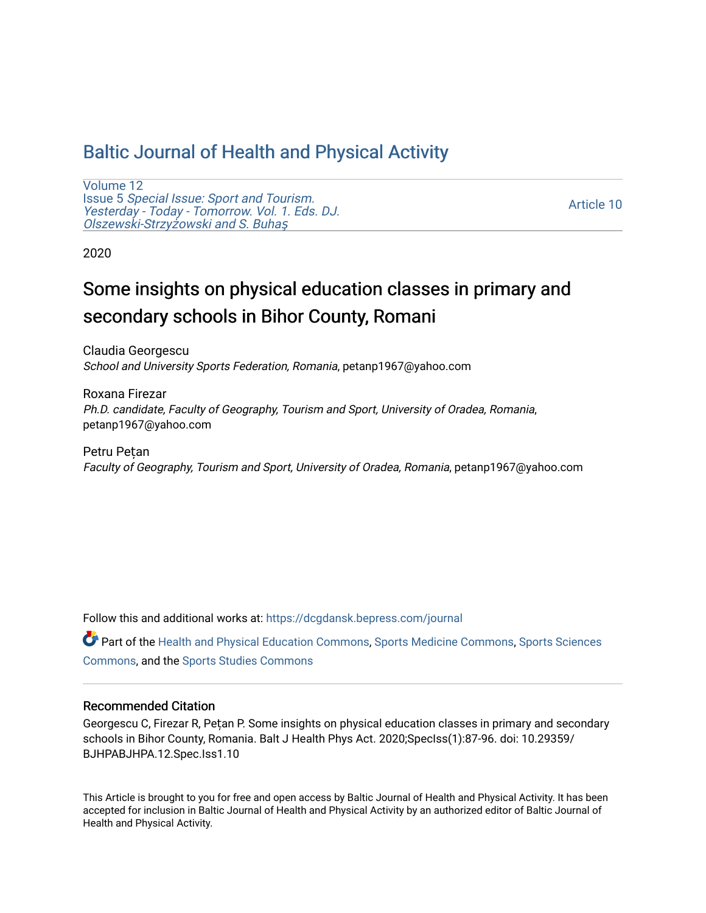# [Baltic Journal of Health and Physical Activity](https://dcgdansk.bepress.com/journal)

[Volume 12](https://dcgdansk.bepress.com/journal/vol12) Issue 5 [Special Issue: Sport and Tourism.](https://dcgdansk.bepress.com/journal/vol12/iss5)  [Yesterday - Today - Tomorrow. Vol. 1. Eds. DJ.](https://dcgdansk.bepress.com/journal/vol12/iss5)  [Olszewski-Strzy](https://dcgdansk.bepress.com/journal/vol12/iss5)żowski and S. Buhaş

[Article 10](https://dcgdansk.bepress.com/journal/vol12/iss5/10) 

2020

# Some insights on physical education classes in primary and secondary schools in Bihor County, Romani

Claudia Georgescu School and University Sports Federation, Romania, petanp1967@yahoo.com

Roxana Firezar Ph.D. candidate, Faculty of Geography, Tourism and Sport, University of Oradea, Romania, petanp1967@yahoo.com

Petru Pețan Faculty of Geography, Tourism and Sport, University of Oradea, Romania, petanp1967@yahoo.com

Follow this and additional works at: [https://dcgdansk.bepress.com/journal](https://dcgdansk.bepress.com/journal?utm_source=dcgdansk.bepress.com%2Fjournal%2Fvol12%2Fiss5%2F10&utm_medium=PDF&utm_campaign=PDFCoverPages)

Part of the [Health and Physical Education Commons](http://network.bepress.com/hgg/discipline/1327?utm_source=dcgdansk.bepress.com%2Fjournal%2Fvol12%2Fiss5%2F10&utm_medium=PDF&utm_campaign=PDFCoverPages), [Sports Medicine Commons,](http://network.bepress.com/hgg/discipline/1331?utm_source=dcgdansk.bepress.com%2Fjournal%2Fvol12%2Fiss5%2F10&utm_medium=PDF&utm_campaign=PDFCoverPages) [Sports Sciences](http://network.bepress.com/hgg/discipline/759?utm_source=dcgdansk.bepress.com%2Fjournal%2Fvol12%2Fiss5%2F10&utm_medium=PDF&utm_campaign=PDFCoverPages) [Commons](http://network.bepress.com/hgg/discipline/759?utm_source=dcgdansk.bepress.com%2Fjournal%2Fvol12%2Fiss5%2F10&utm_medium=PDF&utm_campaign=PDFCoverPages), and the [Sports Studies Commons](http://network.bepress.com/hgg/discipline/1198?utm_source=dcgdansk.bepress.com%2Fjournal%2Fvol12%2Fiss5%2F10&utm_medium=PDF&utm_campaign=PDFCoverPages) 

### Recommended Citation

Georgescu C, Firezar R, Pețan P. Some insights on physical education classes in primary and secondary schools in Bihor County, Romania. Balt J Health Phys Act. 2020;SpecIss(1):87-96. doi: 10.29359/ BJHPABJHPA.12.Spec.Iss1.10

This Article is brought to you for free and open access by Baltic Journal of Health and Physical Activity. It has been accepted for inclusion in Baltic Journal of Health and Physical Activity by an authorized editor of Baltic Journal of Health and Physical Activity.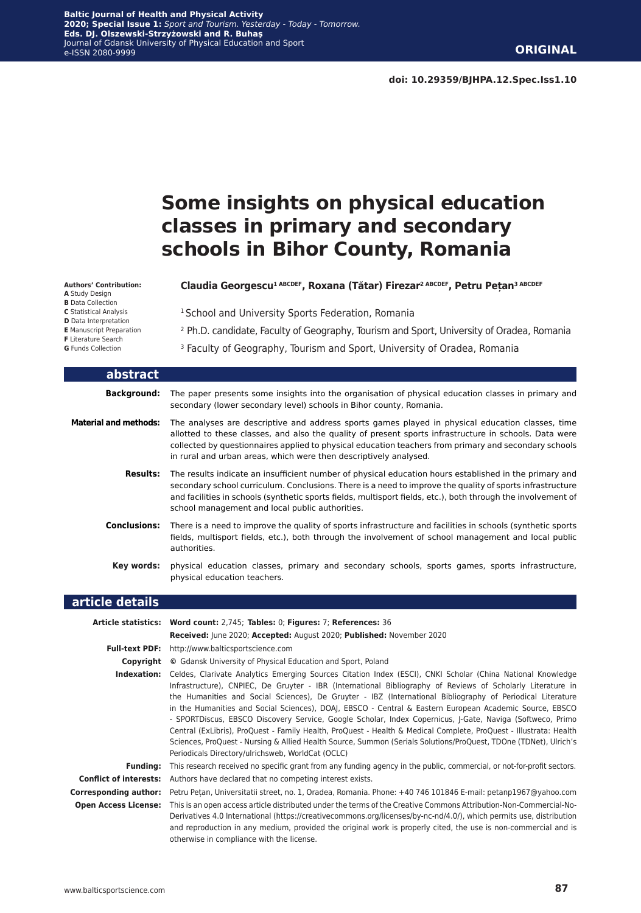# **Some insights on physical education classes in primary and secondary schools in Bihor County, Romania**

#### **Authors' Contribution:**

- **A** Study Design
- **B** Data Collection **C** Statistical Analysis
- **D** Data Interpretation
- **E** Manuscript Preparation
- **F** Literature Search
- **G** Funds Collection

L

#### **Claudia Georgescu1 ABCDEF, Roxana (Tătar) Firezar2 ABCDEF, Petru Pețan3 ABCDEF**

<sup>1</sup> School and University Sports Federation, Romania

- <sup>2</sup> Ph.D. candidate, Faculty of Geography, Tourism and Sport, University of Oradea, Romania
- <sup>3</sup> Faculty of Geography, Tourism and Sport, University of Oradea, Romania

| abstract                     |                                                                                                                                                                                                                                                                                                                                                                                          |
|------------------------------|------------------------------------------------------------------------------------------------------------------------------------------------------------------------------------------------------------------------------------------------------------------------------------------------------------------------------------------------------------------------------------------|
| <b>Background:</b>           | The paper presents some insights into the organisation of physical education classes in primary and<br>secondary (lower secondary level) schools in Bihor county, Romania.                                                                                                                                                                                                               |
| <b>Material and methods:</b> | The analyses are descriptive and address sports games played in physical education classes, time<br>allotted to these classes, and also the quality of present sports infrastructure in schools. Data were<br>collected by questionnaires applied to physical education teachers from primary and secondary schools<br>in rural and urban areas, which were then descriptively analysed. |
| <b>Results:</b>              | The results indicate an insufficient number of physical education hours established in the primary and<br>secondary school curriculum. Conclusions. There is a need to improve the quality of sports infrastructure<br>and facilities in schools (synthetic sports fields, multisport fields, etc.), both through the involvement of<br>school management and local public authorities.  |
| <b>Conclusions:</b>          | There is a need to improve the quality of sports infrastructure and facilities in schools (synthetic sports<br>fields, multisport fields, etc.), both through the involvement of school management and local public<br>authorities.                                                                                                                                                      |
| Key words:                   | physical education classes, primary and secondary schools, sports games, sports infrastructure,<br>physical education teachers.                                                                                                                                                                                                                                                          |
| .                            |                                                                                                                                                                                                                                                                                                                                                                                          |

#### **article details**

|                               | Article statistics: Word count: 2,745; Tables: 0; Figures: 7; References: 36                                                                                                                                                                                                                                                                                                                                                                                                                                                                                                                                                                                                                                                                                                                                                                                  |
|-------------------------------|---------------------------------------------------------------------------------------------------------------------------------------------------------------------------------------------------------------------------------------------------------------------------------------------------------------------------------------------------------------------------------------------------------------------------------------------------------------------------------------------------------------------------------------------------------------------------------------------------------------------------------------------------------------------------------------------------------------------------------------------------------------------------------------------------------------------------------------------------------------|
|                               |                                                                                                                                                                                                                                                                                                                                                                                                                                                                                                                                                                                                                                                                                                                                                                                                                                                               |
|                               | Received: June 2020; Accepted: August 2020; Published: November 2020                                                                                                                                                                                                                                                                                                                                                                                                                                                                                                                                                                                                                                                                                                                                                                                          |
| <b>Full-text PDF:</b>         | http://www.balticsportscience.com                                                                                                                                                                                                                                                                                                                                                                                                                                                                                                                                                                                                                                                                                                                                                                                                                             |
| Copyright                     | © Gdansk University of Physical Education and Sport, Poland                                                                                                                                                                                                                                                                                                                                                                                                                                                                                                                                                                                                                                                                                                                                                                                                   |
| Indexation:                   | Celdes, Clarivate Analytics Emerging Sources Citation Index (ESCI), CNKI Scholar (China National Knowledge<br>Infrastructure), CNPIEC, De Gruyter - IBR (International Bibliography of Reviews of Scholarly Literature in<br>the Humanities and Social Sciences), De Gruyter - IBZ (International Bibliography of Periodical Literature<br>in the Humanities and Social Sciences), DOAJ, EBSCO - Central & Eastern European Academic Source, EBSCO<br>- SPORTDiscus, EBSCO Discovery Service, Google Scholar, Index Copernicus, J-Gate, Naviga (Softweco, Primo<br>Central (ExLibris), ProQuest - Family Health, ProQuest - Health & Medical Complete, ProQuest - Illustrata: Health<br>Sciences, ProQuest - Nursing & Allied Health Source, Summon (Serials Solutions/ProQuest, TDOne (TDNet), Ulrich's<br>Periodicals Directory/ulrichsweb, WorldCat (OCLC) |
| Fundina:                      | This research received no specific grant from any funding agency in the public, commercial, or not-for-profit sectors.                                                                                                                                                                                                                                                                                                                                                                                                                                                                                                                                                                                                                                                                                                                                        |
| <b>Conflict of interests:</b> | Authors have declared that no competing interest exists.                                                                                                                                                                                                                                                                                                                                                                                                                                                                                                                                                                                                                                                                                                                                                                                                      |
| Corresponding author:         | Petru Petan, Universitatii street, no. 1, Oradea, Romania. Phone: +40 746 101846 E-mail: petanp1967@yahoo.com                                                                                                                                                                                                                                                                                                                                                                                                                                                                                                                                                                                                                                                                                                                                                 |
| <b>Open Access License:</b>   | This is an open access article distributed under the terms of the Creative Commons Attribution-Non-Commercial-No-<br>Derivatives 4.0 International (https://creativecommons.org/licenses/by-nc-nd/4.0/), which permits use, distribution<br>and reproduction in any medium, provided the original work is properly cited, the use is non-commercial and is<br>otherwise in compliance with the license.                                                                                                                                                                                                                                                                                                                                                                                                                                                       |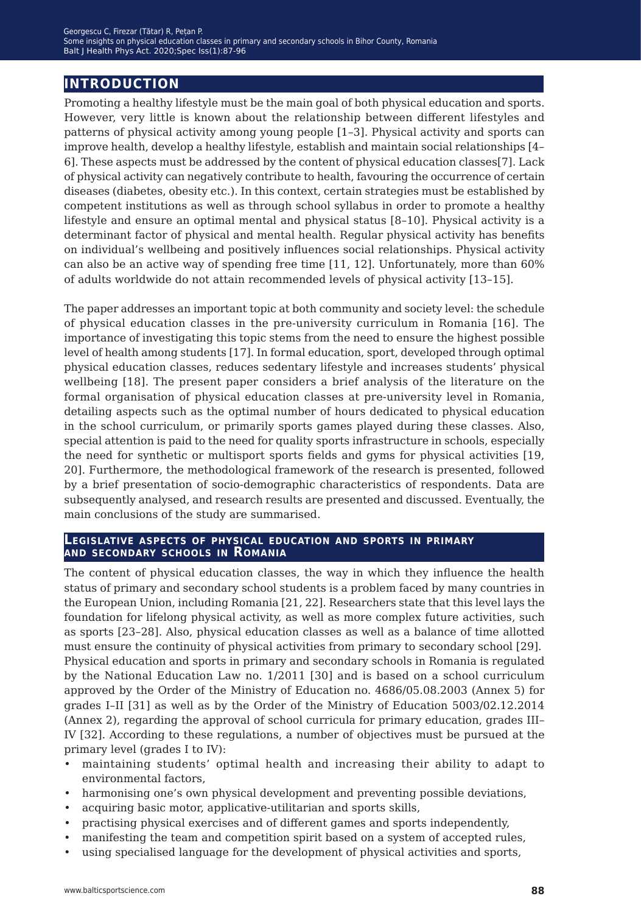## **introduction**

Promoting a healthy lifestyle must be the main goal of both physical education and sports. However, very little is known about the relationship between different lifestyles and patterns of physical activity among young people [1–3]. Physical activity and sports can improve health, develop a healthy lifestyle, establish and maintain social relationships [4– 6]. These aspects must be addressed by the content of physical education classes[7]. Lack of physical activity can negatively contribute to health, favouring the occurrence of certain diseases (diabetes, obesity etc.). In this context, certain strategies must be established by competent institutions as well as through school syllabus in order to promote a healthy lifestyle and ensure an optimal mental and physical status [8–10]. Physical activity is a determinant factor of physical and mental health. Regular physical activity has benefits on individual's wellbeing and positively influences social relationships. Physical activity can also be an active way of spending free time [11, 12]. Unfortunately, more than 60% of adults worldwide do not attain recommended levels of physical activity [13–15].

The paper addresses an important topic at both community and society level: the schedule of physical education classes in the pre-university curriculum in Romania [16]. The importance of investigating this topic stems from the need to ensure the highest possible level of health among students [17]. In formal education, sport, developed through optimal physical education classes, reduces sedentary lifestyle and increases students' physical wellbeing [18]. The present paper considers a brief analysis of the literature on the formal organisation of physical education classes at pre-university level in Romania, detailing aspects such as the optimal number of hours dedicated to physical education in the school curriculum, or primarily sports games played during these classes. Also, special attention is paid to the need for quality sports infrastructure in schools, especially the need for synthetic or multisport sports fields and gyms for physical activities [19, 20]. Furthermore, the methodological framework of the research is presented, followed by a brief presentation of socio-demographic characteristics of respondents. Data are subsequently analysed, and research results are presented and discussed. Eventually, the main conclusions of the study are summarised.

#### **Legislative aspects of physical education and sports in primary and secondary schools in Romania**

The content of physical education classes, the way in which they influence the health status of primary and secondary school students is a problem faced by many countries in the European Union, including Romania [21, 22]. Researchers state that this level lays the foundation for lifelong physical activity, as well as more complex future activities, such as sports [23–28]. Also, physical education classes as well as a balance of time allotted must ensure the continuity of physical activities from primary to secondary school [29]. Physical education and sports in primary and secondary schools in Romania is regulated by the National Education Law no. 1/2011 [30] and is based on a school curriculum approved by the Order of the Ministry of Education no. 4686/05.08.2003 (Annex 5) for grades I–II [31] as well as by the Order of the Ministry of Education 5003/02.12.2014 (Annex 2), regarding the approval of school curricula for primary education, grades III– IV [32]. According to these regulations, a number of objectives must be pursued at the primary level (grades I to IV):

- maintaining students' optimal health and increasing their ability to adapt to environmental factors,
- harmonising one's own physical development and preventing possible deviations,
- acquiring basic motor, applicative-utilitarian and sports skills,
- practising physical exercises and of different games and sports independently,
- manifesting the team and competition spirit based on a system of accepted rules,
- using specialised language for the development of physical activities and sports,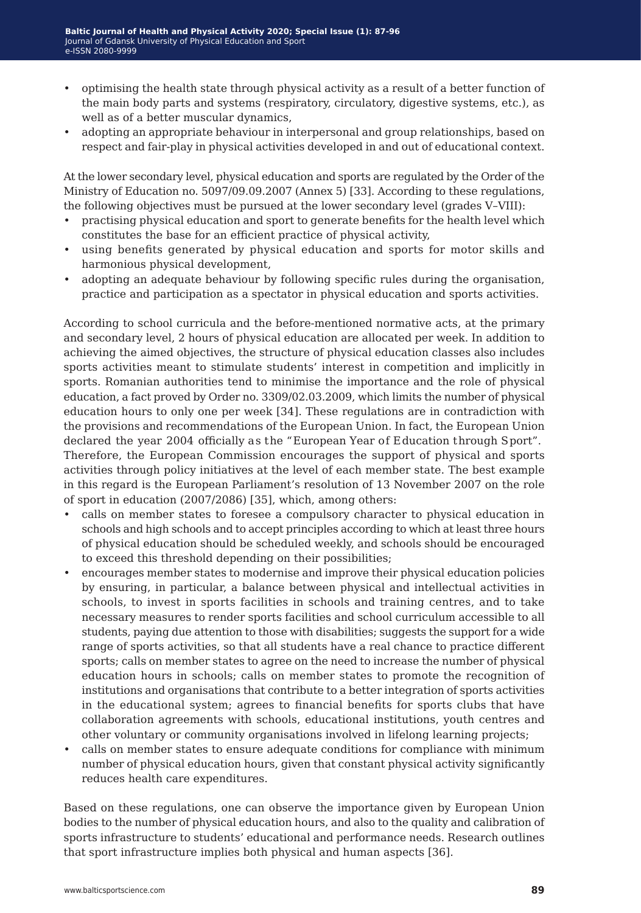- optimising the health state through physical activity as a result of a better function of the main body parts and systems (respiratory, circulatory, digestive systems, etc.), as well as of a better muscular dynamics,
- adopting an appropriate behaviour in interpersonal and group relationships, based on respect and fair-play in physical activities developed in and out of educational context.

At the lower secondary level, physical education and sports are regulated by the Order of the Ministry of Education no. 5097/09.09.2007 (Annex 5) [33]. According to these regulations, the following objectives must be pursued at the lower secondary level (grades V–VIII):

- practising physical education and sport to generate benefits for the health level which constitutes the base for an efficient practice of physical activity,
- using benefits generated by physical education and sports for motor skills and harmonious physical development,
- adopting an adequate behaviour by following specific rules during the organisation, practice and participation as a spectator in physical education and sports activities.

According to school curricula and the before-mentioned normative acts, at the primary and secondary level, 2 hours of physical education are allocated per week. In addition to achieving the aimed objectives, the structure of physical education classes also includes sports activities meant to stimulate students' interest in competition and implicitly in sports. Romanian authorities tend to minimise the importance and the role of physical education, a fact proved by Order no. 3309/02.03.2009, which limits the number of physical education hours to only one per week [34]. These regulations are in contradiction with the provisions and recommendations of the European Union. In fact, the European Union declared the year 2004 officially as the "European Year of Education through Sport". Therefore, the European Commission encourages the support of physical and sports activities through policy initiatives at the level of each member state. The best example in this regard is the European Parliament's resolution of 13 November 2007 on the role of sport in education (2007/2086) [35], which, among others:

- calls on member states to foresee a compulsory character to physical education in schools and high schools and to accept principles according to which at least three hours of physical education should be scheduled weekly, and schools should be encouraged to exceed this threshold depending on their possibilities;
- encourages member states to modernise and improve their physical education policies by ensuring, in particular, a balance between physical and intellectual activities in schools, to invest in sports facilities in schools and training centres, and to take necessary measures to render sports facilities and school curriculum accessible to all students, paying due attention to those with disabilities; suggests the support for a wide range of sports activities, so that all students have a real chance to practice different sports; calls on member states to agree on the need to increase the number of physical education hours in schools; calls on member states to promote the recognition of institutions and organisations that contribute to a better integration of sports activities in the educational system; agrees to financial benefits for sports clubs that have collaboration agreements with schools, educational institutions, youth centres and other voluntary or community organisations involved in lifelong learning projects;
- calls on member states to ensure adequate conditions for compliance with minimum number of physical education hours, given that constant physical activity significantly reduces health care expenditures.

Based on these regulations, one can observe the importance given by European Union bodies to the number of physical education hours, and also to the quality and calibration of sports infrastructure to students' educational and performance needs. Research outlines that sport infrastructure implies both physical and human aspects [36].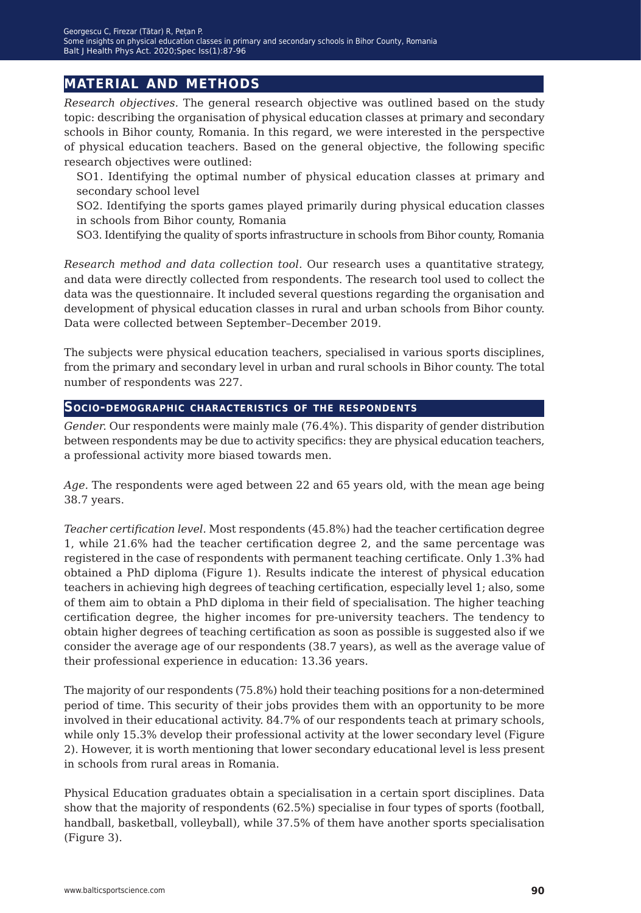## **material and methods**

*Research objectives.* The general research objective was outlined based on the study topic: describing the organisation of physical education classes at primary and secondary schools in Bihor county, Romania. In this regard, we were interested in the perspective of physical education teachers. Based on the general objective, the following specific research objectives were outlined:

SO1. Identifying the optimal number of physical education classes at primary and secondary school level

SO2. Identifying the sports games played primarily during physical education classes in schools from Bihor county, Romania

SO3. Identifying the quality of sports infrastructure in schools from Bihor county, Romania

*Research method and data collection tool.* Our research uses a quantitative strategy, and data were directly collected from respondents. The research tool used to collect the data was the questionnaire. It included several questions regarding the organisation and development of physical education classes in rural and urban schools from Bihor county. Data were collected between September–December 2019.

The subjects were physical education teachers, specialised in various sports disciplines, from the primary and secondary level in urban and rural schools in Bihor county. The total number of respondents was 227.

#### **Socio-demographic characteristics of the respondents**

*Gender.* Our respondents were mainly male (76.4%). This disparity of gender distribution between respondents may be due to activity specifics: they are physical education teachers, a professional activity more biased towards men.

*Age.* The respondents were aged between 22 and 65 years old, with the mean age being 38.7 years.

*Teacher certification level.* Most respondents (45.8%) had the teacher certification degree 1, while 21.6% had the teacher certification degree 2, and the same percentage was registered in the case of respondents with permanent teaching certificate. Only 1.3% had obtained a PhD diploma (Figure 1). Results indicate the interest of physical education teachers in achieving high degrees of teaching certification, especially level 1; also, some of them aim to obtain a PhD diploma in their field of specialisation. The higher teaching certification degree, the higher incomes for pre-university teachers. The tendency to obtain higher degrees of teaching certification as soon as possible is suggested also if we consider the average age of our respondents (38.7 years), as well as the average value of their professional experience in education: 13.36 years.

The majority of our respondents (75.8%) hold their teaching positions for a non-determined period of time. This security of their jobs provides them with an opportunity to be more involved in their educational activity. 84.7% of our respondents teach at primary schools, while only 15.3% develop their professional activity at the lower secondary level (Figure 2). However, it is worth mentioning that lower secondary educational level is less present in schools from rural areas in Romania.

Physical Education graduates obtain a specialisation in a certain sport disciplines. Data show that the majority of respondents (62.5%) specialise in four types of sports (football, handball, basketball, volleyball), while 37.5% of them have another sports specialisation (Figure 3).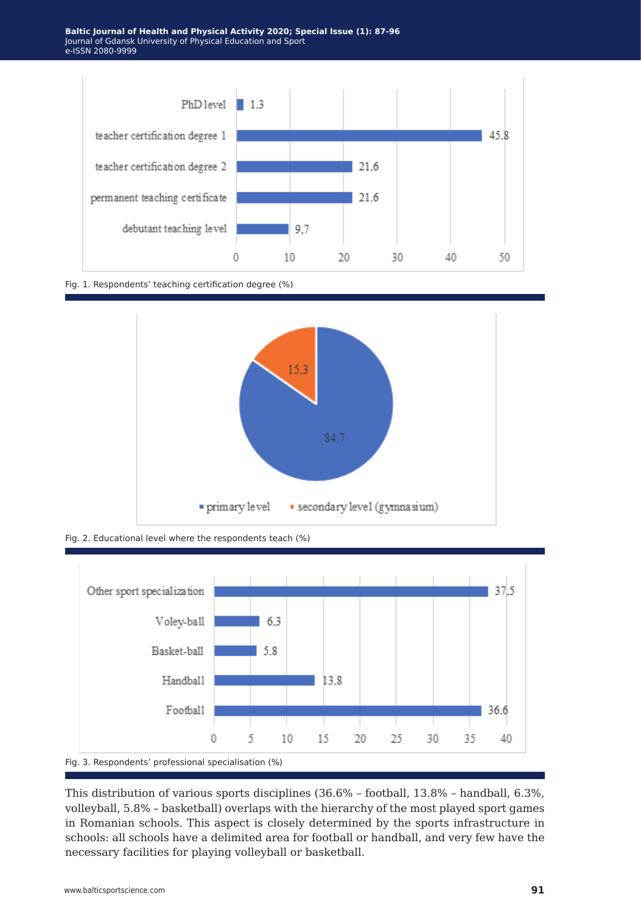

Fig. 1. Respondents' teaching certification degree (%)



Fig. 2. Educational level where the respondents teach (%)



This distribution of various sports disciplines (36.6% – football, 13.8% – handball, 6.3%, volleyball, 5.8% – basketball) overlaps with the hierarchy of the most played sport games in Romanian schools. This aspect is closely determined by the sports infrastructure in schools: all schools have a delimited area for football or handball, and very few have the necessary facilities for playing volleyball or basketball.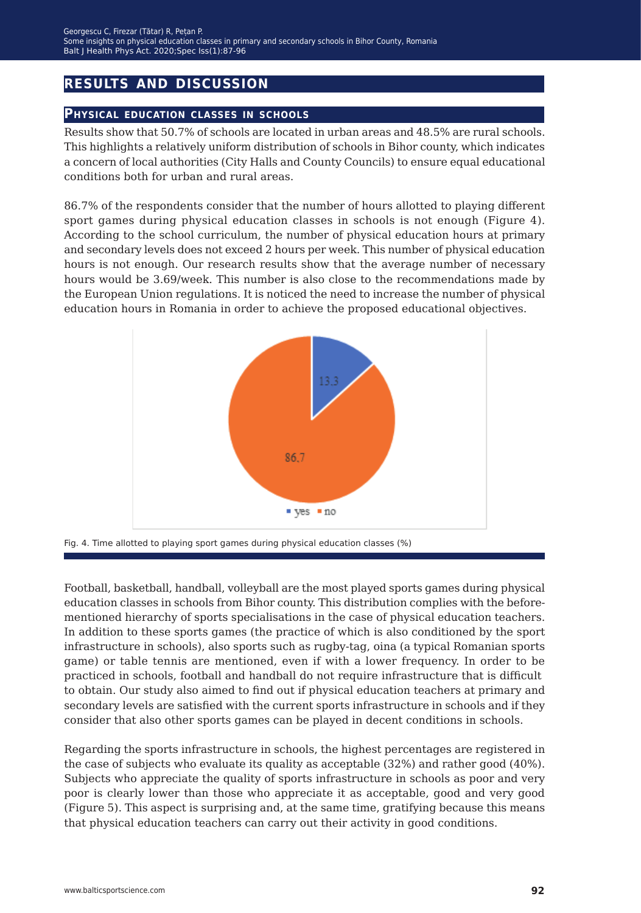## **results and discussion**

### **Physical education classes in schools**

Results show that 50.7% of schools are located in urban areas and 48.5% are rural schools. This highlights a relatively uniform distribution of schools in Bihor county, which indicates a concern of local authorities (City Halls and County Councils) to ensure equal educational conditions both for urban and rural areas.

86.7% of the respondents consider that the number of hours allotted to playing different sport games during physical education classes in schools is not enough (Figure 4). According to the school curriculum, the number of physical education hours at primary and secondary levels does not exceed 2 hours per week. This number of physical education hours is not enough. Our research results show that the average number of necessary hours would be 3.69/week. This number is also close to the recommendations made by the European Union regulations. It is noticed the need to increase the number of physical education hours in Romania in order to achieve the proposed educational objectives.



Fig. 4. Time allotted to playing sport games during physical education classes (%)

Football, basketball, handball, volleyball are the most played sports games during physical education classes in schools from Bihor county. This distribution complies with the beforementioned hierarchy of sports specialisations in the case of physical education teachers. In addition to these sports games (the practice of which is also conditioned by the sport infrastructure in schools), also sports such as rugby-tag, oina (a typical Romanian sports game) or table tennis are mentioned, even if with a lower frequency. In order to be practiced in schools, football and handball do not require infrastructure that is difficult to obtain. Our study also aimed to find out if physical education teachers at primary and secondary levels are satisfied with the current sports infrastructure in schools and if they consider that also other sports games can be played in decent conditions in schools.

Regarding the sports infrastructure in schools, the highest percentages are registered in the case of subjects who evaluate its quality as acceptable (32%) and rather good (40%). Subjects who appreciate the quality of sports infrastructure in schools as poor and very poor is clearly lower than those who appreciate it as acceptable, good and very good (Figure 5). This aspect is surprising and, at the same time, gratifying because this means that physical education teachers can carry out their activity in good conditions.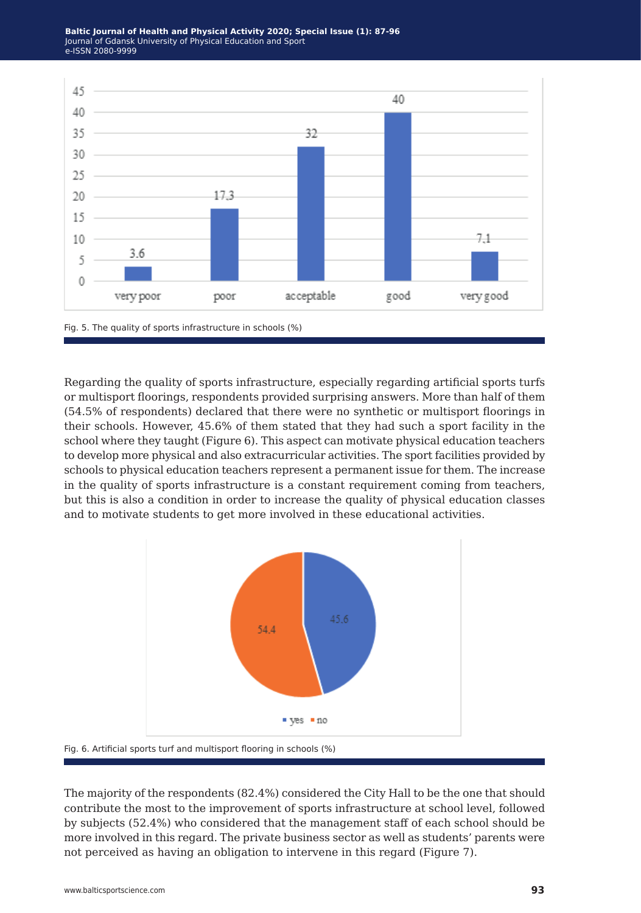

Regarding the quality of sports infrastructure, especially regarding artificial sports turfs or multisport floorings, respondents provided surprising answers. More than half of them (54.5% of respondents) declared that there were no synthetic or multisport floorings in their schools. However, 45.6% of them stated that they had such a sport facility in the school where they taught (Figure 6). This aspect can motivate physical education teachers to develop more physical and also extracurricular activities. The sport facilities provided by schools to physical education teachers represent a permanent issue for them. The increase in the quality of sports infrastructure is a constant requirement coming from teachers, but this is also a condition in order to increase the quality of physical education classes and to motivate students to get more involved in these educational activities.



Fig. 6. Artificial sports turf and multisport flooring in schools (%)

The majority of the respondents (82.4%) considered the City Hall to be the one that should contribute the most to the improvement of sports infrastructure at school level, followed by subjects (52.4%) who considered that the management staff of each school should be more involved in this regard. The private business sector as well as students' parents were not perceived as having an obligation to intervene in this regard (Figure 7).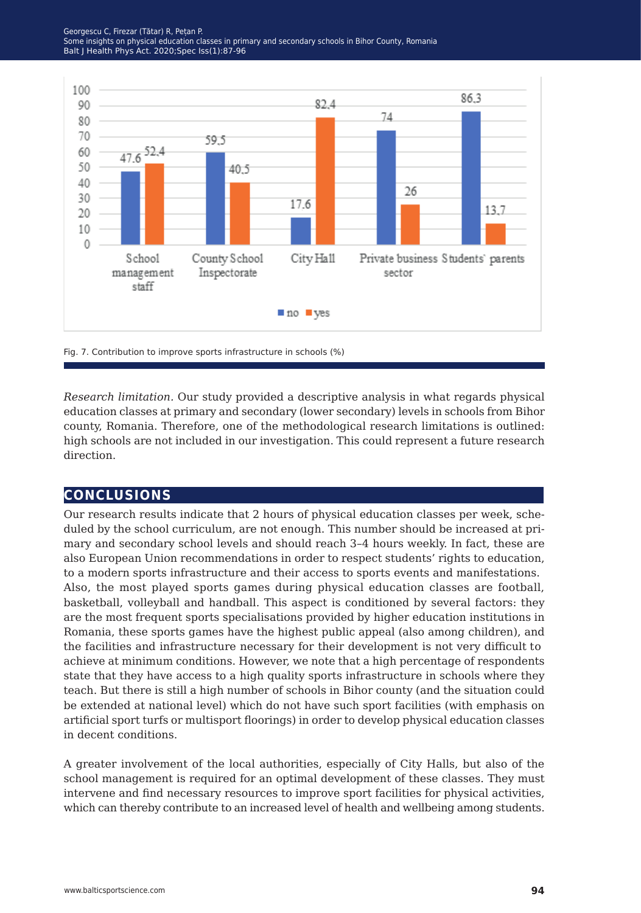

Fig. 7. Contribution to improve sports infrastructure in schools (%)

*Research limitation.* Our study provided a descriptive analysis in what regards physical education classes at primary and secondary (lower secondary) levels in schools from Bihor county, Romania. Therefore, one of the methodological research limitations is outlined: high schools are not included in our investigation. This could represent a future research direction.

## **conclusions**

Our research results indicate that 2 hours of physical education classes per week, scheduled by the school curriculum, are not enough. This number should be increased at primary and secondary school levels and should reach 3–4 hours weekly. In fact, these are also European Union recommendations in order to respect students' rights to education, to a modern sports infrastructure and their access to sports events and manifestations. Also, the most played sports games during physical education classes are football, basketball, volleyball and handball. This aspect is conditioned by several factors: they are the most frequent sports specialisations provided by higher education institutions in Romania, these sports games have the highest public appeal (also among children), and the facilities and infrastructure necessary for their development is not very difficult to achieve at minimum conditions. However, we note that a high percentage of respondents state that they have access to a high quality sports infrastructure in schools where they teach. But there is still a high number of schools in Bihor county (and the situation could be extended at national level) which do not have such sport facilities (with emphasis on artificial sport turfs or multisport floorings) in order to develop physical education classes in decent conditions.

A greater involvement of the local authorities, especially of City Halls, but also of the school management is required for an optimal development of these classes. They must intervene and find necessary resources to improve sport facilities for physical activities, which can thereby contribute to an increased level of health and wellbeing among students.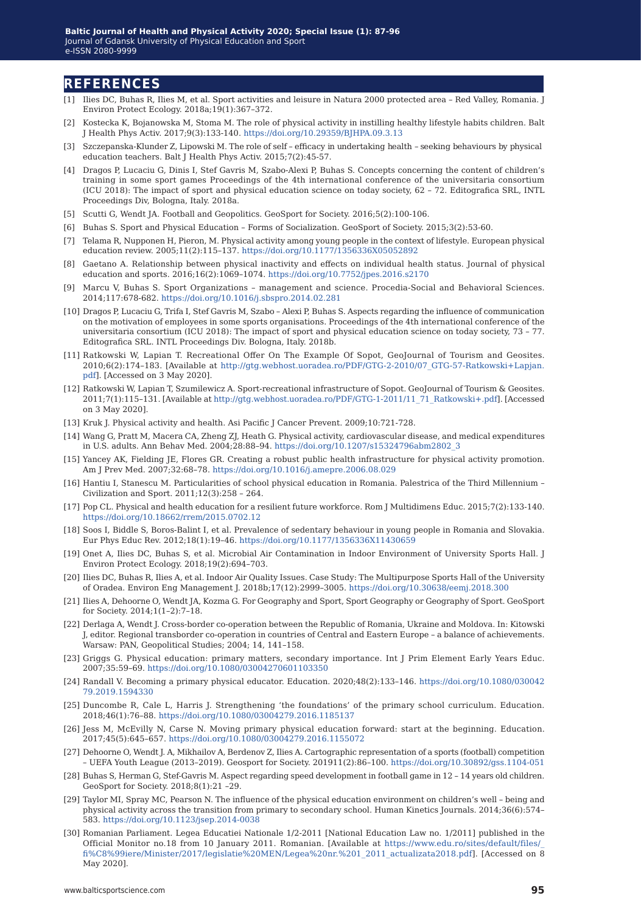### **references**

- [1] Ilies DC, Buhas R, Ilies M, et al. Sport activities and leisure in Natura 2000 protected area Red Valley, Romania. J Environ Protect Ecology. 2018a;19(1):367–372.
- [2] Kostecka K, Bojanowska M, Stoma M. The role of physical activity in instilling healthy lifestyle habits children. Balt J Health Phys Activ. 2017;9(3):133-140. <https://doi.org/10.29359/BJHPA.09.3.13>
- [3] Szczepanska-Klunder Z, Lipowski M. The role of self efficacy in undertaking health seeking behaviours by physical education teachers. Balt J Health Phys Activ. 2015;7(2):45-57.
- [4] Dragos P, Lucaciu G, Dinis I, Stef Gavris M, Szabo-Alexi P, Buhas S. Concepts concerning the content of children's training in some sport games Proceedings of the 4th international conference of the universitaria consortium (ICU 2018): The impact of sport and physical education science on today society, 62 – 72. Editografica SRL, INTL Proceedings Div, Bologna, Italy. 2018a.
- [5] Scutti G, Wendt JA. Football and Geopolitics. GeoSport for Society. 2016;5(2):100-106.
- [6] Buhas S. Sport and Physical Education Forms of Socialization. GeoSport of Society. 2015;3(2):53-60.
- [7] Telama R, Nupponen H, Pieron, M. Physical activity among young people in the context of lifestyle. European physical education review. 2005;11(2):115–137. <https://doi.org/10.1177/1356336X05052892>
- [8] Gaetano A. Relationship between physical inactivity and effects on individual health status. Journal of physical education and sports. 2016;16(2):1069–1074. <https://doi.org/10.7752/jpes.2016.s2170>
- [9] Marcu V, Buhas S. Sport Organizations management and science. Procedia-Social and Behavioral Sciences. 2014;117:678-682. <https://doi.org/10.1016/j.sbspro.2014.02.281>
- [10] Dragos P, Lucaciu G, Trifa I, Stef Gavris M, Szabo Alexi P, Buhas S. Aspects regarding the influence of communication on the motivation of employees in some sports organisations. Proceedings of the 4th international conference of the universitaria consortium (ICU 2018): The impact of sport and physical education science on today society, 73 – 77. Editografica SRL. INTL Proceedings Div. Bologna, Italy. 2018b.
- [11] Ratkowski W, Lapian T. Recreational Offer On The Example Of Sopot, GeoJournal of Tourism and Geosites. 2010;6(2):174–183. [Available at [http://gtg.webhost.uoradea.ro/PDF/GTG-2-2010/07\\_GTG-57-Ratkowski+Lapjan.](http://gtg.webhost.uoradea.ro/PDF/GTG-2-2010/07_GTG-57-Ratkowski+Lapjan.pdf) [pdf\]](http://gtg.webhost.uoradea.ro/PDF/GTG-2-2010/07_GTG-57-Ratkowski+Lapjan.pdf). [Accessed on 3 May 2020].
- [12] Ratkowski W, Lapian T, Szumilewicz A. Sport-recreational infrastructure of Sopot. GeoJournal of Tourism & Geosites. 2011;7(1):115–131. [Available at [http://gtg.webhost.uoradea.ro/PDF/GTG-1-2011/11\\_71\\_Ratkowski+.pdf\]](http://gtg.webhost.uoradea.ro/PDF/GTG-1-2011/11_71_Ratkowski+.pdf). [Accessed on 3 May 2020].
- [13] Kruk J. Physical activity and health. Asi Pacific J Cancer Prevent. 2009;10:721-728.
- [14] Wang G, Pratt M, Macera CA, Zheng ZJ, Heath G. Physical activity, cardiovascular disease, and medical expenditures in U.S. adults. Ann Behav Med. 2004;28:88–94. [https://doi.org/10.1207/s15324796abm2802\\_3](https://doi.org/10.1207/s15324796abm2802_3)
- [15]Yancey AK, Fielding JE, Flores GR. Creating a robust public health infrastructure for physical activity promotion. Am J Prev Med. 2007;32:68–78.<https://doi.org/10.1016/j.amepre.2006.08.029>
- [16] Hantiu I, Stanescu M. Particularities of school physical education in Romania. Palestrica of the Third Millennium Civilization and Sport. 2011;12(3):258 – 264.
- [17] Pop CL. Physical and health education for a resilient future workforce. Rom J Multidimens Educ. 2015;7(2):133-140. <https://doi.org/10.18662/rrem/2015.0702.12>
- [18]Soos I, Biddle S, Boros-Balint I, et al. Prevalence of sedentary behaviour in young people in Romania and Slovakia. Eur Phys Educ Rev. 2012;18(1):19–46. <https://doi.org/10.1177/1356336X11430659>
- [19] Onet A, Ilies DC, Buhas S, et al. Microbial Air Contamination in Indoor Environment of University Sports Hall. J Environ Protect Ecology. 2018;19(2):694–703.
- [20] Ilies DC, Buhas R, Ilies A, et al. Indoor Air Quality Issues. Case Study: The Multipurpose Sports Hall of the University of Oradea. Environ Eng Management J. 2018b;17(12):2999–3005. <https://doi.org/10.30638/eemj.2018.300>
- [21] Ilies A, Dehoorne O, Wendt JA, Kozma G. For Geography and Sport, Sport Geography or Geography of Sport. GeoSport for Society. 2014;1(1–2):7–18.
- [22] Derlaga A, Wendt J. Cross-border co-operation between the Republic of Romania, Ukraine and Moldova. In: Kitowski J, editor. Regional transborder co-operation in countries of Central and Eastern Europe – a balance of achievements. Warsaw: PAN, Geopolitical Studies; 2004; 14, 141–158.
- [23] Griggs G. Physical education: primary matters, secondary importance. Int J Prim Element Early Years Educ. 2007;35:59–69. <https://doi.org/10.1080/03004270601103350>
- [24] Randall V. Becoming a primary physical educator. Education. 2020;48(2):133–146. [https://doi.org/10.1080/030042](https://doi.org/10.1080/03004279.2019.1594330) [79.2019.1594330](https://doi.org/10.1080/03004279.2019.1594330)
- [25] Duncombe R, Cale L, Harris J. Strengthening 'the foundations' of the primary school curriculum. Education. 2018;46(1):76–88. <https://doi.org/10.1080/03004279.2016.1185137>
- [26] Jess M, McEvilly N, Carse N. Moving primary physical education forward: start at the beginning. Education. 2017;45(5):645–657. <https://doi.org/10.1080/03004279.2016.1155072>
- [27] Dehoorne O, Wendt J. A, Mikhailov A, Berdenov Z, Ilies A. Cartographic representation of a sports (football) competition – UEFA Youth League (2013–2019). Geosport for Society. 201911(2):86–100. [https://doi.org/10.30892/gss.1104-051](https://doi.org/10.30892/gss.1104-051 )
- [28] Buhas S, Herman G, Stef-Gavris M. Aspect regarding speed development in football game in 12 14 years old children. GeoSport for Society. 2018;8(1):21 –29.
- [29] Taylor MI, Spray MC, Pearson N. The influence of the physical education environment on children's well being and physical activity across the transition from primary to secondary school. Human Kinetics Journals. 2014;36(6):574– 583.<https://doi.org/10.1123/jsep.2014-0038>
- [30] Romanian Parliament. Legea Educatiei Nationale 1/2-2011 [National Education Law no. 1/2011] published in the Official Monitor no.18 from 10 January 2011. Romanian. [Available at [https://www.edu.ro/sites/default/files/\\_](https://www.edu.ro/sites/default/files/_fi%C8%99iere/Minister/2017/legislatie%20MEN/Legea%20nr.%201_) [fi%C8%99iere/Minister/2017/legislatie%20MEN/Legea%20nr.%201\\_2011\\_actualizata2018.pdf](https://www.edu.ro/sites/default/files/_fi%C8%99iere/Minister/2017/legislatie%20MEN/Legea%20nr.%201_)]. [Accessed on 8 May 2020].